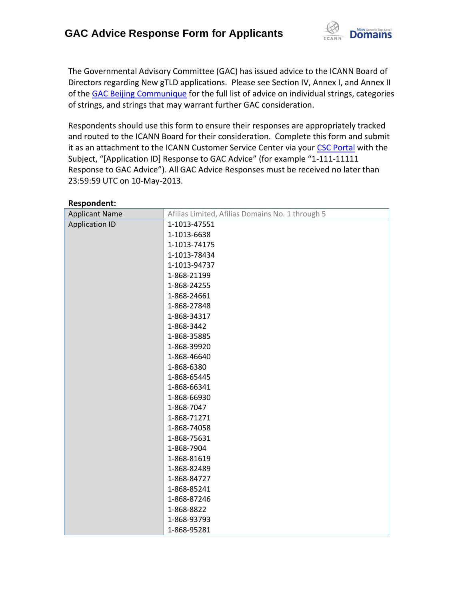

The Governmental Advisory Committee (GAC) has issued advice to the ICANN Board of Directors regarding New gTLD applications. Please see Section IV, Annex I, and Annex II of the [GAC Beijing Communique](http://www.icann.org/en/news/correspondence/gac-to-board-18apr13-en.pdf) for the full list of advice on individual strings, categories of strings, and strings that may warrant further GAC consideration.

Respondents should use this form to ensure their responses are appropriately tracked and routed to the ICANN Board for their consideration. Complete this form and submit it as an attachment to the ICANN Customer Service Center via your CSC [Portal](https://myicann.secure.force.com/) with the Subject, "[Application ID] Response to GAC Advice" (for example "1-111-11111 Response to GAC Advice"). All GAC Advice Responses must be received no later than 23:59:59 UTC on 10-May-2013.

| nesponuent.<br><b>Applicant Name</b> | Afilias Limited, Afilias Domains No. 1 through 5 |
|--------------------------------------|--------------------------------------------------|
| <b>Application ID</b>                | 1-1013-47551                                     |
|                                      | 1-1013-6638                                      |
|                                      | 1-1013-74175                                     |
|                                      | 1-1013-78434                                     |
|                                      | 1-1013-94737                                     |
|                                      | 1-868-21199                                      |
|                                      | 1-868-24255                                      |
|                                      | 1-868-24661                                      |
|                                      | 1-868-27848                                      |
|                                      | 1-868-34317                                      |
|                                      | 1-868-3442                                       |
|                                      | 1-868-35885                                      |
|                                      | 1-868-39920                                      |
|                                      | 1-868-46640                                      |
|                                      | 1-868-6380                                       |
|                                      | 1-868-65445                                      |
|                                      | 1-868-66341                                      |
|                                      | 1-868-66930                                      |
|                                      | 1-868-7047                                       |
|                                      | 1-868-71271                                      |
|                                      | 1-868-74058                                      |
|                                      | 1-868-75631                                      |
|                                      | 1-868-7904                                       |
|                                      | 1-868-81619                                      |
|                                      | 1-868-82489                                      |
|                                      | 1-868-84727                                      |
|                                      | 1-868-85241                                      |
|                                      | 1-868-87246                                      |
|                                      | 1-868-8822                                       |
|                                      | 1-868-93793                                      |
|                                      | 1-868-95281                                      |

**Respondent:**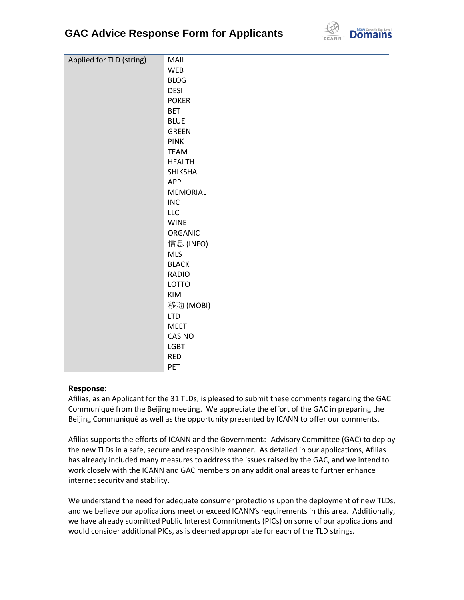## **GAC Advice Response Form for Applicants**



| Applied for TLD (string) | MAIL            |
|--------------------------|-----------------|
|                          | <b>WEB</b>      |
|                          | <b>BLOG</b>     |
|                          | <b>DESI</b>     |
|                          | <b>POKER</b>    |
|                          | <b>BET</b>      |
|                          | <b>BLUE</b>     |
|                          | <b>GREEN</b>    |
|                          | <b>PINK</b>     |
|                          | <b>TEAM</b>     |
|                          | <b>HEALTH</b>   |
|                          | <b>SHIKSHA</b>  |
|                          | APP             |
|                          | <b>MEMORIAL</b> |
|                          | <b>INC</b>      |
|                          | <b>LLC</b>      |
|                          | <b>WINE</b>     |
|                          | ORGANIC         |
|                          | 信息 (INFO)       |
|                          | <b>MLS</b>      |
|                          | <b>BLACK</b>    |
|                          | <b>RADIO</b>    |
|                          | LOTTO           |
|                          | KIM             |
|                          | 移动(MOBI)        |
|                          | <b>LTD</b>      |
|                          | <b>MEET</b>     |
|                          | CASINO          |
|                          | <b>LGBT</b>     |
|                          | <b>RED</b>      |
|                          | PET             |

## **Response:**

Afilias, as an Applicant for the 31 TLDs, is pleased to submit these comments regarding the GAC Communiqué from the Beijing meeting. We appreciate the effort of the GAC in preparing the Beijing Communiqué as well as the opportunity presented by ICANN to offer our comments.

Afilias supports the efforts of ICANN and the Governmental Advisory Committee (GAC) to deploy the new TLDs in a safe, secure and responsible manner. As detailed in our applications, Afilias has already included many measures to address the issues raised by the GAC, and we intend to work closely with the ICANN and GAC members on any additional areas to further enhance internet security and stability.

We understand the need for adequate consumer protections upon the deployment of new TLDs, and we believe our applications meet or exceed ICANN's requirements in this area. Additionally, we have already submitted Public Interest Commitments (PICs) on some of our applications and would consider additional PICs, as is deemed appropriate for each of the TLD strings.